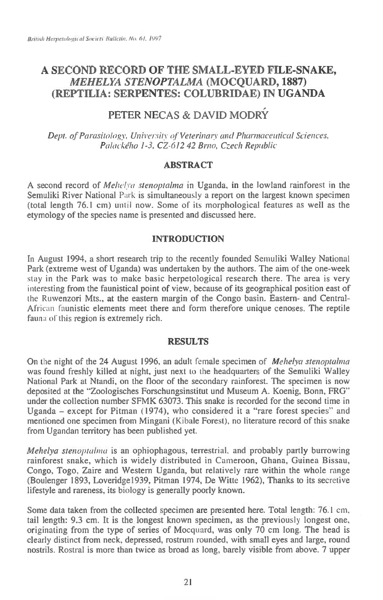# **A SECOND RECORD OF THE SMALL-EYED FILE-SNAKE,**  *MEHELYA STENOPTALMA* **(MOCQUARD, 1887) (REPTILIA: SERPENTES: COLUBRIDAE) IN UGANDA**

# **PETER NECAS & DAVID MODRY**

*Dept. of Parasitology, University* of *Veterinary and Pharmaceutical Sciences, Palackeho 1-3, CZ-6I2 42 Brno, Czech Republic* 

## ABSTRACT

A second record of *Mehelva stenoptalma* in Uganda, in the lowland rainforest in the Semuliki River National Park is simultaneously a report on the largest known specimen (total length 76.1 cm) until now. Some of its morphological features as well as the etymology of the species name is presented and discussed here.

## INTRODUCTION

In August 1994, a short research trip to the recently founded Semuliki Walley National Park (extreme west of Uganda) was undertaken by the authors. The aim of the one-week stay in the Park was to make basic herpetological research there. The area is very interesting from the faunistical point of view, because of its geographical position east of the Ruwenzori Mts., at the eastern margin of the Congo basin. Eastern- and Central-African faunistic elements meet there and form therefore unique cenoses. The reptile fauna of this region is extremely rich.

### RESULTS

On the night of the 24 August 1996, an adult female specimen of *Mehelya stenoptalma*  was found freshly killed at night, just next to *the* headquarters of the Semuliki Walley National Park at Ntandi, on the floor of the secondary rainforest. The specimen is now deposited at the "Zoologisches Forschungsinstitut and Museum A. Koenig, Bonn, FRG" under the collection number SFMK 63073. This snake is recorded for the second time in Uganda — except for Pitman (1974), who considered it a "rare forest species" and mentioned one specimen from Mingani (Kibale Forest), no literature record of this snake from Ugandan territory has been published yet.

*Mehelya stenoptahna is* an ophiophagous, terrestrial, and probably partly burrowing rainforest snake, which is widely distributed in Cameroon, Ghana, Guinea Bissau, Congo, Togo, Zaire and Western Uganda, but relatively rare within the whole range (Boulenger 1893, Loveridge1939, Pitman 1974, De Witte 1962), Thanks to its secretive lifestyle and rareness, its biology is generally poorly known.

Some data taken from the collected specimen are presented here. Total length: 76.1 cm, tail length: 9.3 cm. It is the longest known specimen, as the previously longest one, originating from the type of series of Mocquard, was only 70 cm long. The head is clearly distinct from neck, depressed, rostrum rounded, with small eyes and large, round nostrils. Rostral is more than twice as broad as long, barely visible from above. 7 upper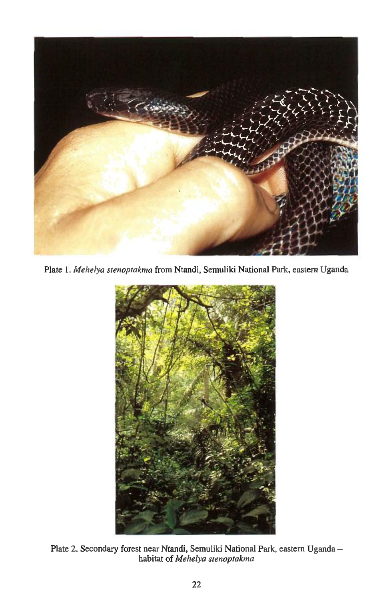

*Plate 1. Mehelya stenoptakma* from Ntandi, Semuliki National Park, eastern Uganda



Plate 2. Secondary forest near Ntandi, Semuliki National Park, eastern Uganda habitat of *Mehelya stenoptakma*